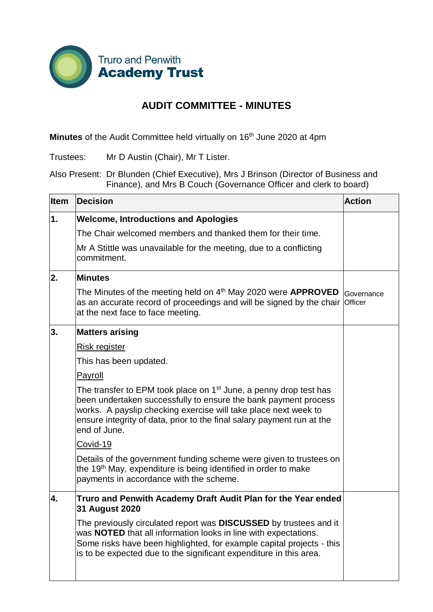

## **AUDIT COMMITTEE - MINUTES**

**Minutes** of the Audit Committee held virtually on 16<sup>th</sup> June 2020 at 4pm

Trustees: Mr D Austin (Chair), Mr T Lister.

Also Present: Dr Blunden (Chief Executive), Mrs J Brinson (Director of Business and Finance), and Mrs B Couch (Governance Officer and clerk to board)

| Item | <b>Decision</b>                                                                                                                                                                                                                                                                                               | <b>Action</b> |
|------|---------------------------------------------------------------------------------------------------------------------------------------------------------------------------------------------------------------------------------------------------------------------------------------------------------------|---------------|
| 1.   | <b>Welcome, Introductions and Apologies</b>                                                                                                                                                                                                                                                                   |               |
|      | The Chair welcomed members and thanked them for their time.                                                                                                                                                                                                                                                   |               |
|      | Mr A Stittle was unavailable for the meeting, due to a conflicting<br>commitment.                                                                                                                                                                                                                             |               |
| 2.   | <b>Minutes</b>                                                                                                                                                                                                                                                                                                |               |
|      | The Minutes of the meeting held on $4th$ May 2020 were <b>APPROVED</b><br>as an accurate record of proceedings and will be signed by the chair Officer<br>at the next face to face meeting.                                                                                                                   | Governance    |
| 3.   | <b>Matters arising</b>                                                                                                                                                                                                                                                                                        |               |
|      | Risk register                                                                                                                                                                                                                                                                                                 |               |
|      | This has been updated.                                                                                                                                                                                                                                                                                        |               |
|      | <b>Payroll</b>                                                                                                                                                                                                                                                                                                |               |
|      | The transfer to EPM took place on 1 <sup>st</sup> June, a penny drop test has<br>been undertaken successfully to ensure the bank payment process<br>works. A payslip checking exercise will take place next week to<br>ensure integrity of data, prior to the final salary payment run at the<br>end of June. |               |
|      | Covid-19                                                                                                                                                                                                                                                                                                      |               |
|      | Details of the government funding scheme were given to trustees on<br>the 19 <sup>th</sup> May, expenditure is being identified in order to make<br>payments in accordance with the scheme.                                                                                                                   |               |
| 4.   | Truro and Penwith Academy Draft Audit Plan for the Year ended<br>31 August 2020                                                                                                                                                                                                                               |               |
|      | The previously circulated report was DISCUSSED by trustees and it<br>was NOTED that all information looks in line with expectations.<br>Some risks have been highlighted, for example capital projects - this<br>is to be expected due to the significant expenditure in this area.                           |               |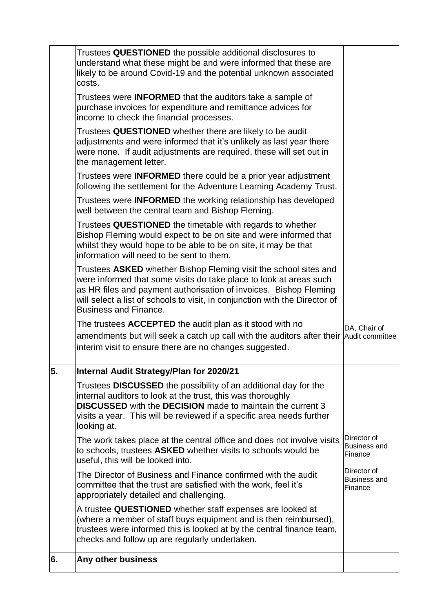|    | Trustees QUESTIONED the possible additional disclosures to                                                                                                                                                                                                                                                                 |                                               |
|----|----------------------------------------------------------------------------------------------------------------------------------------------------------------------------------------------------------------------------------------------------------------------------------------------------------------------------|-----------------------------------------------|
|    | understand what these might be and were informed that these are<br>likely to be around Covid-19 and the potential unknown associated<br>costs.                                                                                                                                                                             |                                               |
|    | Trustees were <b>INFORMED</b> that the auditors take a sample of<br>purchase invoices for expenditure and remittance advices for<br>income to check the financial processes.                                                                                                                                               |                                               |
|    | Trustees QUESTIONED whether there are likely to be audit<br>adjustments and were informed that it's unlikely as last year there<br>were none. If audit adjustments are required, these will set out in<br>the management letter.                                                                                           |                                               |
|    | Trustees were <b>INFORMED</b> there could be a prior year adjustment<br>following the settlement for the Adventure Learning Academy Trust.                                                                                                                                                                                 |                                               |
|    | Trustees were <b>INFORMED</b> the working relationship has developed<br>well between the central team and Bishop Fleming.                                                                                                                                                                                                  |                                               |
|    | Trustees QUESTIONED the timetable with regards to whether<br>Bishop Fleming would expect to be on site and were informed that<br>whilst they would hope to be able to be on site, it may be that<br>information will need to be sent to them.                                                                              |                                               |
|    | Trustees ASKED whether Bishop Fleming visit the school sites and<br>were informed that some visits do take place to look at areas such<br>as HR files and payment authorisation of invoices. Bishop Fleming<br>will select a list of schools to visit, in conjunction with the Director of<br><b>Business and Finance.</b> |                                               |
|    | The trustees ACCEPTED the audit plan as it stood with no<br>amendments but will seek a catch up call with the auditors after their Audit committee<br>interim visit to ensure there are no changes suggested.                                                                                                              | DA, Chair of                                  |
| 5. | Internal Audit Strategy/Plan for 2020/21                                                                                                                                                                                                                                                                                   |                                               |
|    | Trustees DISCUSSED the possibility of an additional day for the<br>internal auditors to look at the trust, this was thoroughly<br><b>DISCUSSED</b> with the DECISION made to maintain the current 3<br>visits a year. This will be reviewed if a specific area needs further<br>looking at.                                |                                               |
|    | The work takes place at the central office and does not involve visits<br>to schools, trustees ASKED whether visits to schools would be<br>useful, this will be looked into.                                                                                                                                               | Director of<br><b>Business and</b><br>Finance |
|    | The Director of Business and Finance confirmed with the audit<br>committee that the trust are satisfied with the work, feel it's<br>appropriately detailed and challenging.                                                                                                                                                | Director of<br><b>Business and</b><br>Finance |
|    | A trustee QUESTIONED whether staff expenses are looked at<br>(where a member of staff buys equipment and is then reimbursed),<br>trustees were informed this is looked at by the central finance team,<br>checks and follow up are regularly undertaken.                                                                   |                                               |
| 6. | Any other business                                                                                                                                                                                                                                                                                                         |                                               |
|    |                                                                                                                                                                                                                                                                                                                            |                                               |